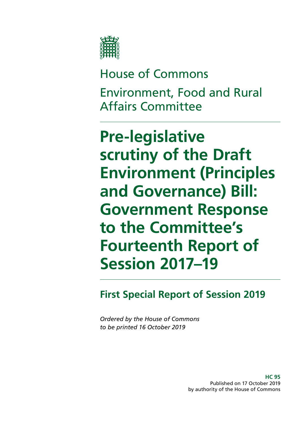

# House of Commons Environment, Food and Rural Affairs Committee

# **Pre-legislative scrutiny of the Draft Environment (Principles and Governance) Bill: Government Response to the Committee's Fourteenth Report of Session 2017–19**

# **First Special Report of Session 2019**

*Ordered by the House of Commons to be printed 16 October 2019*

> **HC 95** Published on 17 October 2019 by authority of the House of Commons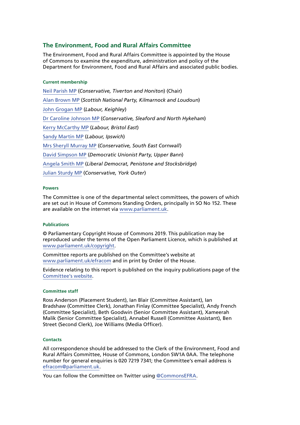#### **The Environment, Food and Rural Affairs Committee**

The Environment, Food and Rural Affairs Committee is appointed by the House of Commons to examine the expenditure, administration and policy of the Department for Environment, Food and Rural Affairs and associated public bodies.

#### **Current membership**

[Neil Parish MP](https://www.parliament.uk/biographies/commons/neil-parish/4072) (*Conservative, Tiverton and Honiton*) (Chair) [Alan Brown MP](https://www.parliament.uk/biographies/commons/alan-brown/4470) (*Scottish National Party, Kilmarnock and Loudoun*) [John Grogan MP](https://www.parliament.uk/biographies/commons/john-grogan/382) (*Labour, Keighley*) [Dr Caroline Johnson MP](https://www.parliament.uk/biographies/commons/dr-caroline-johnson/4592) (*Conservative, Sleaford and North Hykeham*) [Kerry McCarthy MP](https://www.parliament.uk/biographies/commons/kerry-mccarthy/1491) (*Labour, Bristol East*) [Sandy Martin MP](https://www.parliament.uk/biographies/commons/sandy-martin/4678) (*Labour, Ipswich*) [Mrs Sheryll Murray MP](https://www.parliament.uk/biographies/commons/mrs-sheryll-murray/4100) (*Conservative, South East Cornwall*) [David Simpson MP](https://www.parliament.uk/biographies/commons/david-simpson/1597) (*Democratic Unionist Party, Upper Bann*) [Angela Smith MP](https://www.parliament.uk/biographies/commons/angela-smith/1564) (*Liberal Democrat, Penistone and Stocksbridge*) [Julian Sturdy MP](https://www.parliament.uk/biographies/commons/julian-sturdy/4079) (*Conservative, York Outer*)

#### **Powers**

The Committee is one of the departmental select committees, the powers of which are set out in House of Commons Standing Orders, principally in SO No 152. These are available on the internet via [www.parliament.uk.](https://www.parliament.uk/)

#### **Publications**

© Parliamentary Copyright House of Commons 2019. This publication may be reproduced under the terms of the Open Parliament Licence, which is published at [www.parliament.uk/copyright](https://www.parliament.uk/copyright/).

Committee reports are published on the Committee's website at [www.parliament.uk/efracom](https://www.parliament.uk/business/committees/committees-a-z/commons-select/environment-food-and-rural-affairs-committee/) and in print by Order of the House.

Evidence relating to this report is published on the inquiry publications page of the [Committee's website.](https://www.parliament.uk/business/committees/committees-a-z/commons-select/environment-food-and-rural-affairs-committee/inquiries/parliament-2017/scrutiny-of-the-draft-environment-bill-17-19/publications/)

#### **Committee staff**

Ross Anderson (Placement Student), Ian Blair (Committee Assistant), Ian Bradshaw (Committee Clerk), Jonathan Finlay (Committee Specialist), Andy French (Committee Specialist), Beth Goodwin (Senior Committee Assistant), Xameerah Malik (Senior Committee Specialist), Annabel Russell (Committee Assistant), Ben Street (Second Clerk), Joe Williams (Media Officer).

#### **Contacts**

All correspondence should be addressed to the Clerk of the Environment, Food and Rural Affairs Committee, House of Commons, London SW1A 0AA. The telephone number for general enquiries is 020 7219 7341; the Committee's email address is [efracom@parliament.uk](mailto:efracom%40parliament.uk?subject=).

You can follow the Committee on Twitter using [@Commons](https://twitter.com/CommonsEFRA)EFRA.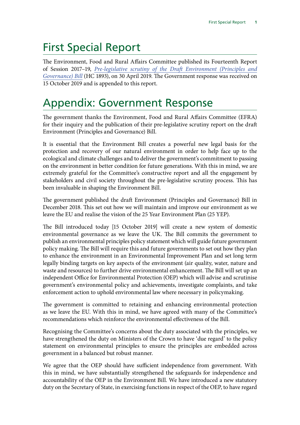# First Special Report

The Environment, Food and Rural Affairs Committee published its Fourteenth Report of Session 2017–19, *[Pre-legislative scrutiny of the Draft Environment \(Principles and](http://Pre-legislative scrutiny of the Draft Environment (Principles and Governance) Bill) [Governance\) Bill](http://Pre-legislative scrutiny of the Draft Environment (Principles and Governance) Bill)* (HC 1893), on 30 April 2019. The Government response was received on 15 October 2019 and is appended to this report.

# Appendix: Government Response

The government thanks the Environment, Food and Rural Affairs Committee (EFRA) for their inquiry and the publication of their pre-legislative scrutiny report on the draft Environment (Principles and Governance) Bill.

It is essential that the Environment Bill creates a powerful new legal basis for the protection and recovery of our natural environment in order to help face up to the ecological and climate challenges and to deliver the government's commitment to passing on the environment in better condition for future generations. With this in mind, we are extremely grateful for the Committee's constructive report and all the engagement by stakeholders and civil society throughout the pre-legislative scrutiny process. This has been invaluable in shaping the Environment Bill.

The government published the draft Environment (Principles and Governance) Bill in December 2018. This set out how we will maintain and improve our environment as we leave the EU and realise the vision of the 25 Year Environment Plan (25 YEP).

The Bill introduced today [15 October 2019] will create a new system of domestic environmental governance as we leave the UK. The Bill commits the government to publish an environmental principles policy statement which will guide future government policy making. The Bill will require this and future governments to set out how they plan to enhance the environment in an Environmental Improvement Plan and set long term legally binding targets on key aspects of the environment (air quality, water, nature and waste and resources) to further drive environmental enhancement. The Bill will set up an independent Office for Environmental Protection (OEP) which will advise and scrutinise government's environmental policy and achievements, investigate complaints, and take enforcement action to uphold environmental law where necessary in policymaking.

The government is committed to retaining and enhancing environmental protection as we leave the EU. With this in mind, we have agreed with many of the Committee's recommendations which reinforce the environmental effectiveness of the Bill.

Recognising the Committee's concerns about the duty associated with the principles, we have strengthened the duty on Ministers of the Crown to have 'due regard' to the policy statement on environmental principles to ensure the principles are embedded across government in a balanced but robust manner.

We agree that the OEP should have sufficient independence from government. With this in mind, we have substantially strengthened the safeguards for independence and accountability of the OEP in the Environment Bill. We have introduced a new statutory duty on the Secretary of State, in exercising functions in respect of the OEP, to have regard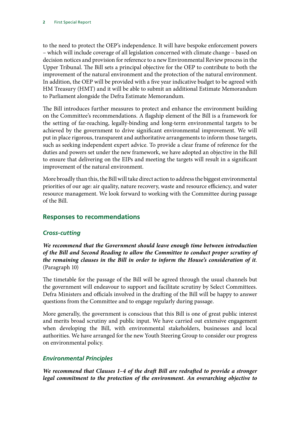to the need to protect the OEP's independence. It will have bespoke enforcement powers – which will include coverage of all legislation concerned with climate change – based on decision notices and provision for reference to a new Environmental Review process in the Upper Tribunal. The Bill sets a principal objective for the OEP to contribute to both the improvement of the natural environment and the protection of the natural environment. In addition, the OEP will be provided with a five year indicative budget to be agreed with HM Treasury (HMT) and it will be able to submit an additional Estimate Memorandum to Parliament alongside the Defra Estimate Memorandum.

The Bill introduces further measures to protect and enhance the environment building on the Committee's recommendations. A flagship element of the Bill is a framework for the setting of far-reaching, legally-binding and long-term environmental targets to be achieved by the government to drive significant environmental improvement. We will put in place rigorous, transparent and authoritative arrangements to inform those targets, such as seeking independent expert advice. To provide a clear frame of reference for the duties and powers set under the new framework, we have adopted an objective in the Bill to ensure that delivering on the EIPs and meeting the targets will result in a significant improvement of the natural environment.

More broadly than this, the Bill will take direct action to address the biggest environmental priorities of our age: air quality, nature recovery, waste and resource efficiency, and water resource management. We look forward to working with the Committee during passage of the Bill.

## **Responses to recommendations**

## *Cross-cutting*

*We recommend that the Government should leave enough time between introduction of the Bill and Second Reading to allow the Committee to conduct proper scrutiny of the remaining clauses in the Bill in order to inform the House's consideration of it*. (Paragraph 10)

The timetable for the passage of the Bill will be agreed through the usual channels but the government will endeavour to support and facilitate scrutiny by Select Committees. Defra Ministers and officials involved in the drafting of the Bill will be happy to answer questions from the Committee and to engage regularly during passage.

More generally, the government is conscious that this Bill is one of great public interest and merits broad scrutiny and public input. We have carried out extensive engagement when developing the Bill, with environmental stakeholders, businesses and local authorities. We have arranged for the new Youth Steering Group to consider our progress on environmental policy.

## *Environmental Principles*

*We recommend that Clauses 1–4 of the draft Bill are redrafted to provide a stronger*  legal commitment to the protection of the environment. An overarching objective to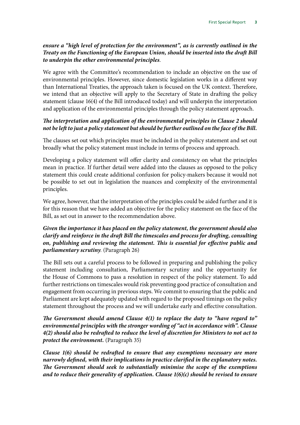#### *ensure a "high level of protection for the environment", as is currently outlined in the Treaty on the Functioning of the European Union, should be inserted into the draft Bill to underpin the other environmental principles*.

We agree with the Committee's recommendation to include an objective on the use of environmental principles. However, since domestic legislation works in a different way than International Treaties, the approach taken is focused on the UK context. Therefore, we intend that an objective will apply to the Secretary of State in drafting the policy statement (clause 16(4) of the Bill introduced today) and will underpin the interpretation and application of the environmental principles through the policy statement approach.

#### *The interpretation and application of the environmental principles in Clause 2 should not be left to just a policy statement but should be further outlined on the face of the Bill.*

The clauses set out which principles must be included in the policy statement and set out broadly what the policy statement must include in terms of process and approach.

Developing a policy statement will offer clarity and consistency on what the principles mean in practice. If further detail were added into the clauses as opposed to the policy statement this could create additional confusion for policy-makers because it would not be possible to set out in legislation the nuances and complexity of the environmental principles.

We agree, however, that the interpretation of the principles could be aided further and it is for this reason that we have added an objective for the policy statement on the face of the Bill, as set out in answer to the recommendation above.

#### *Given the importance it has placed on the policy statement, the government should also clarify and reinforce in the draft Bill the timescales and process for drafting, consulting on, publishing and reviewing the statement. This is essential for effective public and parliamentary scrutiny.* (Paragraph 26)

The Bill sets out a careful process to be followed in preparing and publishing the policy statement including consultation, Parliamentary scrutiny and the opportunity for the House of Commons to pass a resolution in respect of the policy statement. To add further restrictions on timescales would risk preventing good practice of consultation and engagement from occurring in previous steps. We commit to ensuring that the public and Parliament are kept adequately updated with regard to the proposed timings on the policy statement throughout the process and we will undertake early and effective consultation.

#### *The Government should amend Clause 4(1) to replace the duty to "have regard to" environmental principles with the stronger wording of "act in accordance with". Clause 4(2) should also be redrafted to reduce the level of discretion for Ministers to not act to protect the environment.* (Paragraph 35)

*Clause 1(6) should be redrafted to ensure that any exemptions necessary are more narrowly defined, with their implications in practice clarified in the explanatory notes. The Government should seek to substantially minimise the scope of the exemptions and to reduce their generality of application. Clause 1(6)(c) should be revised to ensure*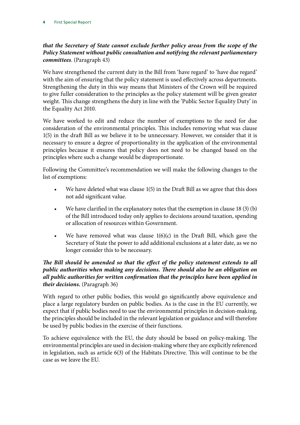## *that the Secretary of State cannot exclude further policy areas from the scope of the Policy Statement without public consultation and notifying the relevant parliamentary committees*. (Paragraph 43)

We have strengthened the current duty in the Bill from 'have regard' to 'have due regard' with the aim of ensuring that the policy statement is used effectively across departments. Strengthening the duty in this way means that Ministers of the Crown will be required to give fuller consideration to the principles as the policy statement will be given greater weight. This change strengthens the duty in line with the 'Public Sector Equality Duty' in the Equality Act 2010.

We have worked to edit and reduce the number of exemptions to the need for due consideration of the environmental principles. This includes removing what was clause 1(5) in the draft Bill as we believe it to be unnecessary. However, we consider that it is necessary to ensure a degree of proportionality in the application of the environmental principles because it ensures that policy does not need to be changed based on the principles where such a change would be disproportionate.

Following the Committee's recommendation we will make the following changes to the list of exemptions:

- We have deleted what was clause 1(5) in the Draft Bill as we agree that this does not add significant value.
- We have clarified in the explanatory notes that the exemption in clause  $18(3)(b)$ of the Bill introduced today only applies to decisions around taxation, spending or allocation of resources within Government.
- We have removed what was clause  $1(6)(c)$  in the Draft Bill, which gave the Secretary of State the power to add additional exclusions at a later date, as we no longer consider this to be necessary.

#### *The Bill should be amended so that the effect of the policy statement extends to all public authorities when making any decisions. There should also be an obligation on all public authorities for written confirmation that the principles have been applied in their decisions.* (Paragraph 36)

With regard to other public bodies, this would go significantly above equivalence and place a large regulatory burden on public bodies. As is the case in the EU currently, we expect that if public bodies need to use the environmental principles in decision-making, the principles should be included in the relevant legislation or guidance and will therefore be used by public bodies in the exercise of their functions.

To achieve equivalence with the EU, the duty should be based on policy-making. The environmental principles are used in decision-making where they are explicitly referenced in legislation, such as article 6(3) of the Habitats Directive. This will continue to be the case as we leave the EU.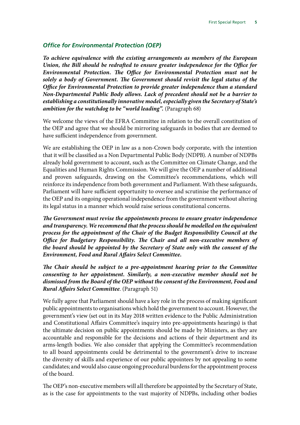#### *Office for Environmental Protection (OEP)*

*To achieve equivalence with the existing arrangements as members of the European Union, the Bill should be redrafted to ensure greater independence for the Office for Environmental Protection. The Office for Environmental Protection must not be solely a body of Government. The Government should revisit the legal status of the Office for Environmental Protection to provide greater independence than a standard Non-Departmental Public Body allows. Lack of precedent should not be a barrier to establishing a constitutionally innovative model, especially given the Secretary of State's ambition for the watchdog to be "world leading".* (Paragraph 68)

We welcome the views of the EFRA Committee in relation to the overall constitution of the OEP and agree that we should be mirroring safeguards in bodies that are deemed to have sufficient independence from government.

We are establishing the OEP in law as a non-Crown body corporate, with the intention that it will be classified as a Non Departmental Public Body (NDPB). A number of NDPBs already hold government to account, such as the Committee on Climate Change, and the Equalities and Human Rights Commission. We will give the OEP a number of additional and proven safeguards, drawing on the Committee's recommendations, which will reinforce its independence from both government and Parliament. With these safeguards, Parliament will have sufficient opportunity to oversee and scrutinise the performance of the OEP and its ongoing operational independence from the government without altering its legal status in a manner which would raise serious constitutional concerns.

*The Government must revise the appointments process to ensure greater independence and transparency. We recommend that the process should be modelled on the equivalent process for the appointment of the Chair of the Budget Responsibility Council at the Office for Budgetary Responsibility. The Chair and all non-executive members of the board should be appointed by the Secretary of State only with the consent of the Environment, Food and Rural Affairs Select Committee.*

*The Chair should be subject to a pre-appointment hearing prior to the Committee consenting to her appointment. Similarly, a non-executive member should not be dismissed from the Board of the OEP without the consent of the Environment, Food and Rural Affairs Select Committee*. (Paragraph 51)

We fully agree that Parliament should have a key role in the process of making significant public appointments to organisations which hold the government to account. However, the government's view (set out in its May 2018 written evidence to the Public Administration and Constitutional Affairs Committee's inquiry into pre-appointments hearings) is that the ultimate decision on public appointments should be made by Ministers, as they are accountable and responsible for the decisions and actions of their department and its arms-length bodies. We also consider that applying the Committee's recommendation to all board appointments could be detrimental to the government's drive to increase the diversity of skills and experience of our public appointees by not appealing to some candidates; and would also cause ongoing procedural burdens for the appointment process of the board.

The OEP's non-executive members will all therefore be appointed by the Secretary of State, as is the case for appointments to the vast majority of NDPBs, including other bodies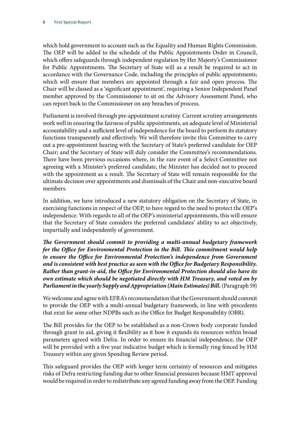which hold government to account such as the Equality and Human Rights Commission. The OEP will be added to the schedule of the Public Appointments Order in Council, which offers safeguards through independent regulation by Her Majesty's Commissioner for Public Appointments. The Secretary of State will as a result be required to act in accordance with the Governance Code, including the principles of public appointments; which will ensure that members are appointed through a fair and open process. The Chair will be classed as a 'significant appointment', requiring a Senior Independent Panel member approved by the Commissioner to sit on the Advisory Assessment Panel, who can report back to the Commissioner on any breaches of process.

Parliament is involved through pre-appointment scrutiny. Current scrutiny arrangements work well in ensuring the fairness of public appointments, an adequate level of Ministerial accountability and a sufficient level of independence for the board to perform its statutory functions transparently and effectively. We will therefore invite this Committee to carry out a pre-appointment hearing with the Secretary of State's preferred candidate for OEP Chair; and the Secretary of State will duly consider the Committee's recommendations. There have been previous occasions where, in the rare event of a Select Committee not agreeing with a Minister's preferred candidate, the Minister has decided not to proceed with the appointment as a result. The Secretary of State will remain responsible for the ultimate decision over appointments and dismissals of the Chair and non-executive board members.

In addition, we have introduced a new statutory obligation on the Secretary of State, in exercising functions in respect of the OEP, to have regard to the need to protect the OEP's independence. With regards to all of the OEP's ministerial appointments, this will ensure that the Secretary of State considers the preferred candidates' ability to act objectively, impartially and independently of government.

*The Government should commit to providing a multi-annual budgetary framework for the Office for Environmental Protection in the Bill. This commitment would help to ensure the Office for Environmental Protection's independence from Government and is consistent with best practice as seen with the Office for Budgetary Responsibility. Rather than grant-in-aid, the Office for Environmental Protection should also have its own estimate which should be negotiated directly with HM Treasury, and voted on by Parliament in the yearly Supply and Appropriation (Main Estimates) Bill.* (Paragraph 59)

We welcome and agree with EFRA's recommendation that the Government should commit to provide the OEP with a multi-annual budgetary framework, in line with precedents that exist for some other NDPBs such as the Office for Budget Responsibility (OBR).

The Bill provides for the OEP to be established as a non-Crown body corporate funded through grant in aid, giving it flexibility as it how it expands its resources within broad parameters agreed with Defra. In order to ensure its financial independence, the OEP will be provided with a five year indicative budget which is formally ring fenced by HM Treasury within any given Spending Review period.

This safeguard provides the OEP with longer term certainty of resources and mitigates risks of Defra restricting funding due to other financial pressures because HMT approval would be required in order to redistribute any agreed funding away from the OEP. Funding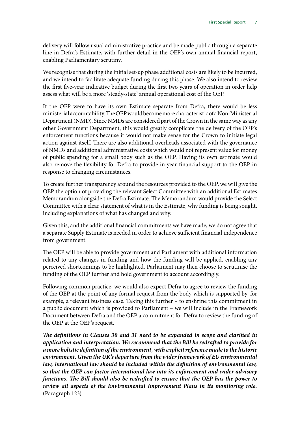delivery will follow usual administrative practice and be made public through a separate line in Defra's Estimate, with further detail in the OEP's own annual financial report, enabling Parliamentary scrutiny.

We recognise that during the initial set-up phase additional costs are likely to be incurred, and we intend to facilitate adequate funding during this phase. We also intend to review the first five-year indicative budget during the first two years of operation in order help assess what will be a more 'steady-state' annual operational cost of the OEP.

If the OEP were to have its own Estimate separate from Defra, there would be less ministerial accountability. The OEP would become more characteristic of a Non-Ministerial Department (NMD). Since NMDs are considered part of the Crown in the same way as any other Government Department, this would greatly complicate the delivery of the OEP's enforcement functions because it would not make sense for the Crown to initiate legal action against itself. There are also additional overheads associated with the governance of NMDs and additional administrative costs which would not represent value for money of public spending for a small body such as the OEP. Having its own estimate would also remove the flexibility for Defra to provide in-year financial support to the OEP in response to changing circumstances.

To create further transparency around the resources provided to the OEP, we will give the OEP the option of providing the relevant Select Committee with an additional Estimates Memorandum alongside the Defra Estimate. The Memorandum would provide the Select Committee with a clear statement of what is in the Estimate, why funding is being sought, including explanations of what has changed and why.

Given this, and the additional financial commitments we have made, we do not agree that a separate Supply Estimate is needed in order to achieve sufficient financial independence from government.

The OEP will be able to provide government and Parliament with additional information related to any changes in funding and how the funding will be applied, enabling any perceived shortcomings to be highlighted. Parliament may then choose to scrutinise the funding of the OEP further and hold government to account accordingly.

Following common practice, we would also expect Defra to agree to review the funding of the OEP at the point of any formal request from the body which is supported by, for example, a relevant business case. Taking this further – to enshrine this commitment in a public document which is provided to Parliament – we will include in the Framework Document between Defra and the OEP a commitment for Defra to review the funding of the OEP at the OEP's request.

*The definitions in Clauses 30 and 31 need to be expanded in scope and clarified in application and interpretation. We recommend that the Bill be redrafted to provide for a more holistic definition of the environment, with explicit reference made to the historic environment. Given the UK's departure from the wider framework of EU environmental law, international law should be included within the definition of environmental law, so that the OEP can factor international law into its enforcement and wider advisory functions. The Bill should also be redrafted to ensure that the OEP has the power to review all aspects of the Environmental Improvement Plans in its monitoring role.* (Paragraph 123)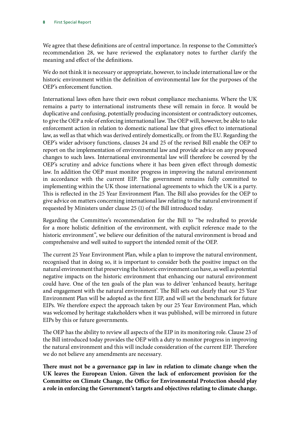We agree that these definitions are of central importance. In response to the Committee's recommendation 28, we have reviewed the explanatory notes to further clarify the meaning and effect of the definitions.

We do not think it is necessary or appropriate, however, to include international law or the historic environment within the definition of environmental law for the purposes of the OEP's enforcement function.

International laws often have their own robust compliance mechanisms. Where the UK remains a party to international instruments these will remain in force. It would be duplicative and confusing, potentially producing inconsistent or contradictory outcomes, to give the OEP a role of enforcing international law. The OEP will, however, be able to take enforcement action in relation to domestic national law that gives effect to international law, as well as that which was derived entirely domestically, or from the EU. Regarding the OEP's wider advisory functions, clauses 24 and 25 of the revised Bill enable the OEP to report on the implementation of environmental law and provide advice on any proposed changes to such laws. International environmental law will therefore be covered by the OEP's scrutiny and advice functions where it has been given effect through domestic law. In addition the OEP must monitor progress in improving the natural environment in accordance with the current EIP. The government remains fully committed to implementing within the UK those international agreements to which the UK is a party. This is reflected in the 25 Year Environment Plan. The Bill also provides for the OEP to give advice on matters concerning international law relating to the natural environment if requested by Ministers under clause 25 (1) of the Bill introduced today.

Regarding the Committee's recommendation for the Bill to "be redrafted to provide for a more holistic definition of the environment, with explicit reference made to the historic environment", we believe our definition of the natural environment is broad and comprehensive and well suited to support the intended remit of the OEP.

The current 25 Year Environment Plan, while a plan to improve the natural environment, recognised that in doing so, it is important to consider both the positive impact on the natural environment that preserving the historic environment can have, as well as potential negative impacts on the historic environment that enhancing our natural environment could have. One of the ten goals of the plan was to deliver 'enhanced beauty, heritage and engagement with the natural environment'. The Bill sets out clearly that our 25 Year Environment Plan will be adopted as the first EIP, and will set the benchmark for future EIPs. We therefore expect the approach taken by our 25 Year Environment Plan, which was welcomed by heritage stakeholders when it was published, will be mirrored in future EIPs by this or future governments.

The OEP has the ability to review all aspects of the EIP in its monitoring role. Clause 23 of the Bill introduced today provides the OEP with a duty to monitor progress in improving the natural environment and this will include consideration of the current EIP. Therefore we do not believe any amendments are necessary.

**There must not be a governance gap in law in relation to climate change when the UK leaves the European Union. Given the lack of enforcement provision for the Committee on Climate Change, the Office for Environmental Protection should play a role in enforcing the Government's targets and objectives relating to climate change.**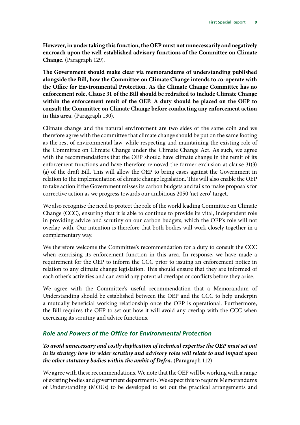**However, in undertaking this function, the OEP must not unnecessarily and negatively encroach upon the well-established advisory functions of the Committee on Climate Change.** (Paragraph 129).

**The Government should make clear via memorandums of understanding published alongside the Bill, how the Committee on Climate Change intends to co-operate with the Office for Environmental Protection. As the Climate Change Committee has no enforcement role, Clause 31 of the Bill should be redrafted to include Climate Change within the enforcement remit of the OEP. A duty should be placed on the OEP to consult the Committee on Climate Change before conducting any enforcement action in this area.** (Paragraph 130).

Climate change and the natural environment are two sides of the same coin and we therefore agree with the committee that climate change should be put on the same footing as the rest of environmental law, while respecting and maintaining the existing role of the Committee on Climate Change under the Climate Change Act. As such, we agree with the recommendations that the OEP should have climate change in the remit of its enforcement functions and have therefore removed the former exclusion at clause 31(3) (a) of the draft Bill. This will allow the OEP to bring cases against the Government in relation to the implementation of climate change legislation. This will also enable the OEP to take action if the Government misses its carbon budgets and fails to make proposals for corrective action as we progress towards our ambitious 2050 'net zero' target.

We also recognise the need to protect the role of the world leading Committee on Climate Change (CCC), ensuring that it is able to continue to provide its vital, independent role in providing advice and scrutiny on our carbon budgets, which the OEP's role will not overlap with. Our intention is therefore that both bodies will work closely together in a complementary way.

We therefore welcome the Committee's recommendation for a duty to consult the CCC when exercising its enforcement function in this area. In response, we have made a requirement for the OEP to inform the CCC prior to issuing an enforcement notice in relation to any climate change legislation. This should ensure that they are informed of each other's activities and can avoid any potential overlaps or conflicts before they arise.

We agree with the Committee's useful recommendation that a Memorandum of Understanding should be established between the OEP and the CCC to help underpin a mutually beneficial working relationship once the OEP is operational. Furthermore, the Bill requires the OEP to set out how it will avoid any overlap with the CCC when exercising its scrutiny and advice functions.

## *Role and Powers of the Office for Environmental Protection*

*To avoid unnecessary and costly duplication of technical expertise the OEP must set out in its strategy how its wider scrutiny and advisory roles will relate to and impact upon the other statutory bodies within the ambit of Defra.* (Paragraph 112)

We agree with these recommendations. We note that the OEP will be working with a range of existing bodies and government departments. We expect this to require Memorandums of Understanding (MOUs) to be developed to set out the practical arrangements and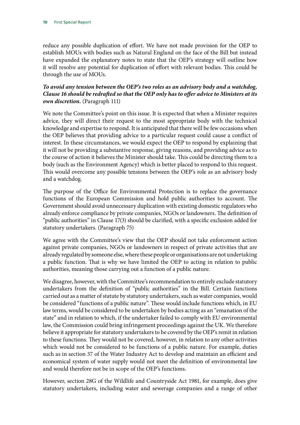reduce any possible duplication of effort. We have not made provision for the OEP to establish MOUs with bodies such as Natural England on the face of the Bill but instead have expanded the explanatory notes to state that the OEP's strategy will outline how it will resolve any potential for duplication of effort with relevant bodies. This could be through the use of MOUs.

#### *To avoid any tension between the OEP's two roles as an advisory body and a watchdog, Clause 16 should be redrafted so that the OEP only has to offer advice to Ministers at its own discretion.* (Paragraph 111)

We note the Committee's point on this issue. It is expected that when a Minister requires advice, they will direct their request to the most appropriate body with the technical knowledge and expertise to respond. It is anticipated that there will be few occasions when the OEP believes that providing advice to a particular request could cause a conflict of interest. In these circumstances, we would expect the OEP to respond by explaining that it will not be providing a substantive response, giving reasons, and providing advice as to the course of action it believes the Minister should take. This could be directing them to a body (such as the Environment Agency) which is better placed to respond to this request. This would overcome any possible tensions between the OEP's role as an advisory body and a watchdog.

The purpose of the Office for Environmental Protection is to replace the governance functions of the European Commission and hold public authorities to account. The Government should avoid unnecessary duplication with existing domestic regulators who already enforce compliance by private companies, NGOs or landowners. The definition of "public authorities" in Clause 17(3) should be clarified, with a specific exclusion added for statutory undertakers. (Paragraph 75)

We agree with the Committee's view that the OEP should not take enforcement action against private companies, NGOs or landowners in respect of private activities that are already regulated by someone else, where these people or organisations are not undertaking a public function. That is why we have limited the OEP to acting in relation to public authorities, meaning those carrying out a function of a public nature.

We disagree, however, with the Committee's recommendation to entirely exclude statutory undertakers from the definition of "public authorities" in the Bill. Certain functions carried out as a matter of statute by statutory undertakers, such as water companies, would be considered "functions of a public nature". These would include functions which, in EU law terms, would be considered to be undertaken by bodies acting as an "emanation of the state" and in relation to which, if the undertaker failed to comply with EU environmental law, the Commission could bring infringement proceedings against the UK. We therefore believe it appropriate for statutory undertakers to be covered by the OEP's remit in relation to these functions. They would not be covered, however, in relation to any other activities which would not be considered to be functions of a public nature. For example, duties such as in section 37 of the Water Industry Act to develop and maintain an efficient and economical system of water supply would not meet the definition of environmental law and would therefore not be in scope of the OEP's functions.

However, section 28G of the Wildlife and Countryside Act 1981, for example, does give statutory undertakers, including water and sewerage companies and a range of other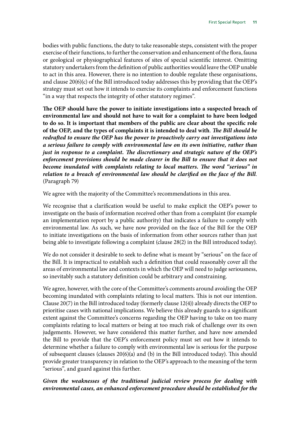bodies with public functions, the duty to take reasonable steps, consistent with the proper exercise of their functions, to further the conservation and enhancement of the flora, fauna or geological or physiographical features of sites of special scientific interest. Omitting statutory undertakers from the definition of public authorities would leave the OEP unable to act in this area. However, there is no intention to double regulate these organisations, and clause 20(6)(c) of the Bill introduced today addresses this by providing that the OEP's strategy must set out how it intends to exercise its complaints and enforcement functions "in a way that respects the integrity of other statutory regimes".

**The OEP should have the power to initiate investigations into a suspected breach of environmental law and should not have to wait for a complaint to have been lodged to do so. It is important that members of the public are clear about the specific role of the OEP, and the types of complaints it is intended to deal with**. *The Bill should be redrafted to ensure the OEP has the power to proactively carry out investigations into a serious failure to comply with environmental law on its own initiative, rather than just in response to a complaint. The discretionary and strategic nature of the OEP's enforcement provisions should be made clearer in the Bill to ensure that it does not become inundated with complaints relating to local matters. The word "serious" in relation to a breach of environmental law should be clarified on the face of the Bill*. (Paragraph 79)

We agree with the majority of the Committee's recommendations in this area.

We recognise that a clarification would be useful to make explicit the OEP's power to investigate on the basis of information received other than from a complaint (for example an implementation report by a public authority) that indicates a failure to comply with environmental law. As such, we have now provided on the face of the Bill for the OEP to initiate investigations on the basis of information from other sources rather than just being able to investigate following a complaint (clause 28(2) in the Bill introduced today).

We do not consider it desirable to seek to define what is meant by "serious" on the face of the Bill. It is impractical to establish such a definition that could reasonably cover all the areas of environmental law and contexts in which the OEP will need to judge seriousness, so inevitably such a statutory definition could be arbitrary and constraining.

We agree, however, with the core of the Committee's comments around avoiding the OEP becoming inundated with complaints relating to local matters. This is not our intention. Clause 20(7) in the Bill introduced today (formerly clause 12(4)) already directs the OEP to prioritise cases with national implications. We believe this already guards to a significant extent against the Committee's concerns regarding the OEP having to take on too many complaints relating to local matters or being at too much risk of challenge over its own judgements. However, we have considered this matter further, and have now amended the Bill to provide that the OEP's enforcement policy must set out how it intends to determine whether a failure to comply with environmental law is serious for the purpose of subsequent clauses (clauses 20(6)(a) and (b) in the Bill introduced today). This should provide greater transparency in relation to the OEP's approach to the meaning of the term "serious", and guard against this further.

#### *Given the weaknesses of the traditional judicial review process for dealing with environmental cases, an enhanced enforcement procedure should be established for the*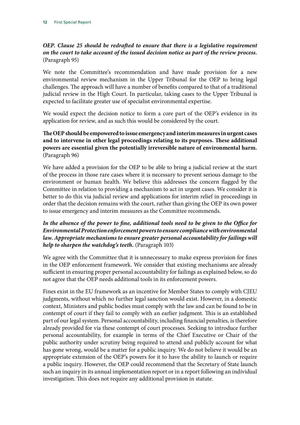## *OEP. Clause 25 should be redrafted to ensure that there is a legislative requirement on the court to take account of the issued decision notice as part of the review process.*  (Paragraph 95)

We note the Committee's recommendation and have made provision for a new environmental review mechanism in the Upper Tribunal for the OEP to bring legal challenges. The approach will have a number of benefits compared to that of a traditional judicial review in the High Court. In particular, taking cases to the Upper Tribunal is expected to facilitate greater use of specialist environmental expertise.

We would expect the decision notice to form a core part of the OEP's evidence in its application for review, and as such this would be considered by the court.

#### **The OEP should be empowered to issue emergency and interim measures in urgent cases and to intervene in other legal proceedings relating to its purposes. These additional powers are essential given the potentially irreversible nature of environmental harm.**  (Paragraph 96)

We have added a provision for the OEP to be able to bring a judicial review at the start of the process in those rare cases where it is necessary to prevent serious damage to the environment or human health. We believe this addresses the concern flagged by the Committee in relation to providing a mechanism to act in urgent cases. We consider it is better to do this via judicial review and applications for interim relief in proceedings in order that the decision remains with the court, rather than giving the OEP its own power to issue emergency and interim measures as the Committee recommends.

#### *In the absence of the power to fine, additional tools need to be given to the Office for Environmental Protection enforcement powers to ensure compliance with environmental*  law. Appropriate mechanisms to ensure greater personal accountability for failings will *help to sharpen the watchdog's teeth.* (Paragraph 103)

We agree with the Committee that it is unnecessary to make express provision for fines in the OEP enforcement framework. We consider that existing mechanisms are already sufficient in ensuring proper personal accountability for failings as explained below, so do not agree that the OEP needs additional tools in its enforcement powers.

Fines exist in the EU framework as an incentive for Member States to comply with CJEU judgments, without which no further legal sanction would exist. However, in a domestic context, Ministers and public bodies must comply with the law and can be found to be in contempt of court if they fail to comply with an earlier judgment. This is an established part of our legal system. Personal accountability, including financial penalties, is therefore already provided for via these contempt of court processes. Seeking to introduce further personal accountability, for example in terms of the Chief Executive or Chair of the public authority under scrutiny being required to attend and publicly account for what has gone wrong, would be a matter for a public inquiry. We do not believe it would be an appropriate extension of the OEP's powers for it to have the ability to launch or require a public inquiry. However, the OEP could recommend that the Secretary of State launch such an inquiry in its annual implementation report or in a report following an individual investigation. This does not require any additional provision in statute.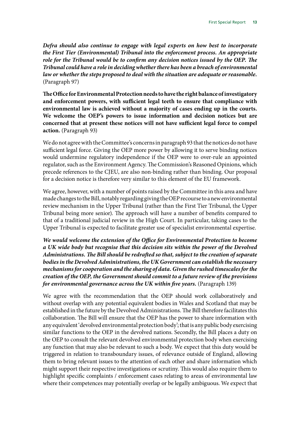*Defra should also continue to engage with legal experts on how best to incorporate the First Tier (Environmental) Tribunal into the enforcement process. An appropriate role for the Tribunal would be to confirm any decision notices issued by the OEP. The Tribunal could have a role in deciding whether there has been a breach of environmental law or whether the steps proposed to deal with the situation are adequate or reasonable.* (Paragraph 97)

**The Office for Environmental Protection needs to have the right balance of investigatory and enforcement powers, with sufficient legal teeth to ensure that compliance with environmental law is achieved without a majority of cases ending up in the courts. We welcome the OEP's powers to issue information and decision notices but are concerned that at present these notices will not have sufficient legal force to compel action.** (Paragraph 93)

We do not agree with the Committee's concerns in paragraph 93 that the notices do not have sufficient legal force. Giving the OEP more power by allowing it to serve binding notices would undermine regulatory independence if the OEP were to over-rule an appointed regulator, such as the Environment Agency. The Commission's Reasoned Opinions, which precede references to the CJEU, are also non-binding rather than binding. Our proposal for a decision notice is therefore very similar to this element of the EU framework.

We agree, however, with a number of points raised by the Committee in this area and have made changes to the Bill, notably regarding giving the OEP recourse to a new environmental review mechanism in the Upper Tribunal (rather than the First Tier Tribunal, the Upper Tribunal being more senior). The approach will have a number of benefits compared to that of a traditional judicial review in the High Court. In particular, taking cases to the Upper Tribunal is expected to facilitate greater use of specialist environmental expertise.

*We would welcome the extension of the Office for Environmental Protection to become a UK wide body but recognise that this decision sits within the power of the Devolved Administrations. The Bill should be redrafted so that, subject to the creation of separate bodies in the Devolved Administrations, the UK Government can establish the necessary mechanisms for cooperation and the sharing of data. Given the rushed timescales for the creation of the OEP, the Government should commit to a future review of the provisions for environmental governance across the UK within five years.* (Paragraph 139)

We agree with the recommendation that the OEP should work collaboratively and without overlap with any potential equivalent bodies in Wales and Scotland that may be established in the future by the Devolved Administrations. The Bill therefore facilitates this collaboration. The Bill will ensure that the OEP has the power to share information with any equivalent 'devolved environmental protection body'; that is any public body exercising similar functions to the OEP in the devolved nations. Secondly, the Bill places a duty on the OEP to consult the relevant devolved environmental protection body when exercising any function that may also be relevant to such a body. We expect that this duty would be triggered in relation to transboundary issues, of relevance outside of England, allowing them to bring relevant issues to the attention of each other and share information which might support their respective investigations or scrutiny. This would also require them to highlight specific complaints / enforcement cases relating to areas of environmental law where their competences may potentially overlap or be legally ambiguous. We expect that